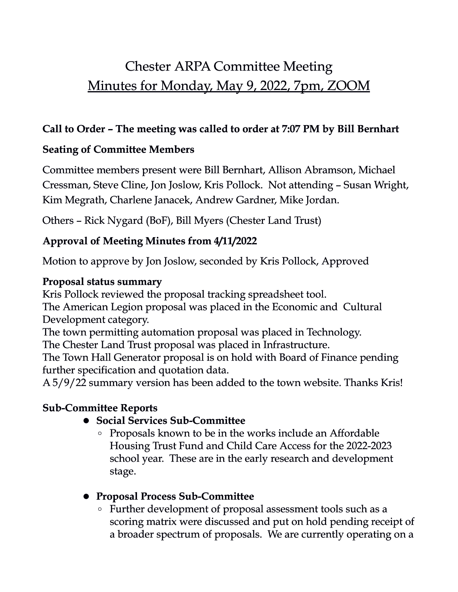# Chester ARPA Committee Meeting Minutes for Monday, May 9, 2022, 7pm, ZOOM

# **Call to Order – The meeting was called to order at 7:07 PM by Bill Bernhart**

# **Seating of Committee Members**

Committee members present were Bill Bernhart, Allison Abramson, Michael Cressman, Steve Cline, Jon Joslow, Kris Pollock. Not attending – Susan Wright, Kim Megrath, Charlene Janacek, Andrew Gardner, Mike Jordan.

Others – Rick Nygard (BoF), Bill Myers (Chester Land Trust)

# **Approval of Meeting Minutes from 4/11/2022**

Motion to approve by Jon Joslow, seconded by Kris Pollock, Approved

#### **Proposal status summary**

Kris Pollock reviewed the proposal tracking spreadsheet tool.

The American Legion proposal was placed in the Economic and Cultural Development category.

The town permitting automation proposal was placed in Technology.

The Chester Land Trust proposal was placed in Infrastructure.

The Town Hall Generator proposal is on hold with Board of Finance pending further specification and quotation data.

A 5/9/22 summary version has been added to the town website. Thanks Kris!

# **Sub-Committee Reports**

- ! **Social Services Sub-Committee**
	- Proposals known to be in the works include an Affordable Housing Trust Fund and Child Care Access for the 2022-2023 school year. These are in the early research and development stage.
- ! **Proposal Process Sub-Committee**
	- Further development of proposal assessment tools such as a scoring matrix were discussed and put on hold pending receipt of a broader spectrum of proposals. We are currently operating on a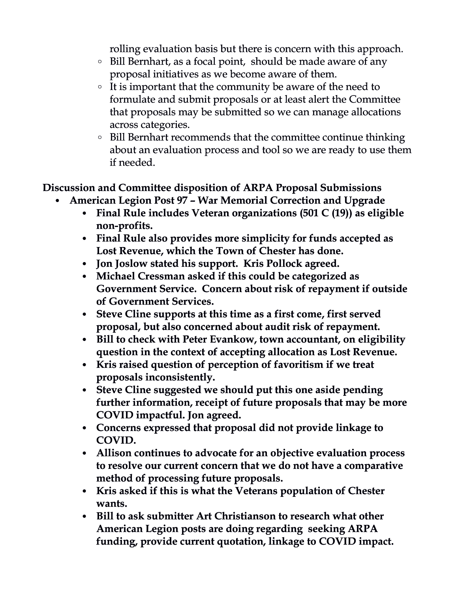rolling evaluation basis but there is concern with this approach.

- Bill Bernhart, as a focal point, should be made aware of any proposal initiatives as we become aware of them.
- It is important that the community be aware of the need to formulate and submit proposals or at least alert the Committee that proposals may be submitted so we can manage allocations across categories.
- Bill Bernhart recommends that the committee continue thinking about an evaluation process and tool so we are ready to use them if needed.

### **Discussion and Committee disposition of ARPA Proposal Submissions**

- **American Legion Post 97 War Memorial Correction and Upgrade**
	- **Final Rule includes Veteran organizations (501 C (19)) as eligible non-profits.**
	- **Final Rule also provides more simplicity for funds accepted as Lost Revenue, which the Town of Chester has done.**
	- **Jon Joslow stated his support. Kris Pollock agreed.**
	- **Michael Cressman asked if this could be categorized as Government Service. Concern about risk of repayment if outside of Government Services.**
	- **Steve Cline supports at this time as a first come, first served proposal, but also concerned about audit risk of repayment.**
	- **Bill to check with Peter Evankow, town accountant, on eligibility question in the context of accepting allocation as Lost Revenue.**
	- **Kris raised question of perception of favoritism if we treat proposals inconsistently.**
	- **Steve Cline suggested we should put this one aside pending further information, receipt of future proposals that may be more COVID impactful. Jon agreed.**
	- **Concerns expressed that proposal did not provide linkage to COVID.**
	- **Allison continues to advocate for an objective evaluation process to resolve our current concern that we do not have a comparative method of processing future proposals.**
	- **Kris asked if this is what the Veterans population of Chester wants.**
	- **Bill to ask submitter Art Christianson to research what other American Legion posts are doing regarding seeking ARPA funding, provide current quotation, linkage to COVID impact.**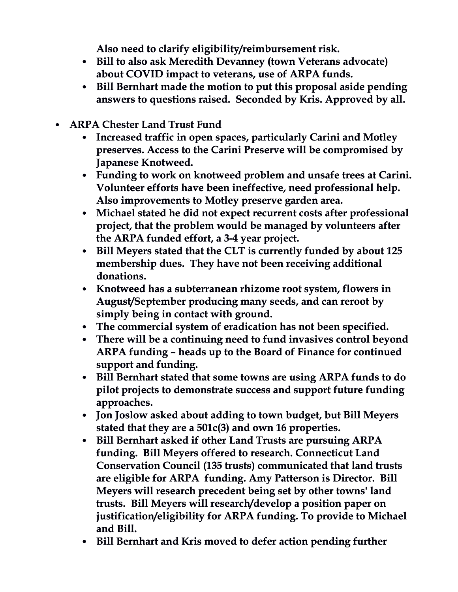**Also need to clarify eligibility/reimbursement risk.**

- **Bill to also ask Meredith Devanney (town Veterans advocate) about COVID impact to veterans, use of ARPA funds.**
- **Bill Bernhart made the motion to put this proposal aside pending answers to questions raised. Seconded by Kris. Approved by all.**
- **ARPA Chester Land Trust Fund**
	- **Increased traffic in open spaces, particularly Carini and Motley preserves. Access to the Carini Preserve will be compromised by Japanese Knotweed.**
	- **Funding to work on knotweed problem and unsafe trees at Carini. Volunteer efforts have been ineffective, need professional help. Also improvements to Motley preserve garden area.**
	- **Michael stated he did not expect recurrent costs after professional project, that the problem would be managed by volunteers after the ARPA funded effort, a 3-4 year project.**
	- **Bill Meyers stated that the CLT is currently funded by about 125 membership dues. They have not been receiving additional donations.**
	- **Knotweed has a subterranean rhizome root system, flowers in August/September producing many seeds, and can reroot by simply being in contact with ground.**
	- **The commercial system of eradication has not been specified.**
	- **There will be a continuing need to fund invasives control beyond ARPA funding – heads up to the Board of Finance for continued support and funding.**
	- **Bill Bernhart stated that some towns are using ARPA funds to do pilot projects to demonstrate success and support future funding approaches.**
	- **Jon Joslow asked about adding to town budget, but Bill Meyers stated that they are a 501c(3) and own 16 properties.**
	- **Bill Bernhart asked if other Land Trusts are pursuing ARPA funding. Bill Meyers offered to research. Connecticut Land Conservation Council (135 trusts) communicated that land trusts are eligible for ARPA funding. Amy Patterson is Director. Bill Meyers will research precedent being set by other towns' land trusts. Bill Meyers will research/develop a position paper on justification/eligibility for ARPA funding. To provide to Michael and Bill.**
	- **Bill Bernhart and Kris moved to defer action pending further**